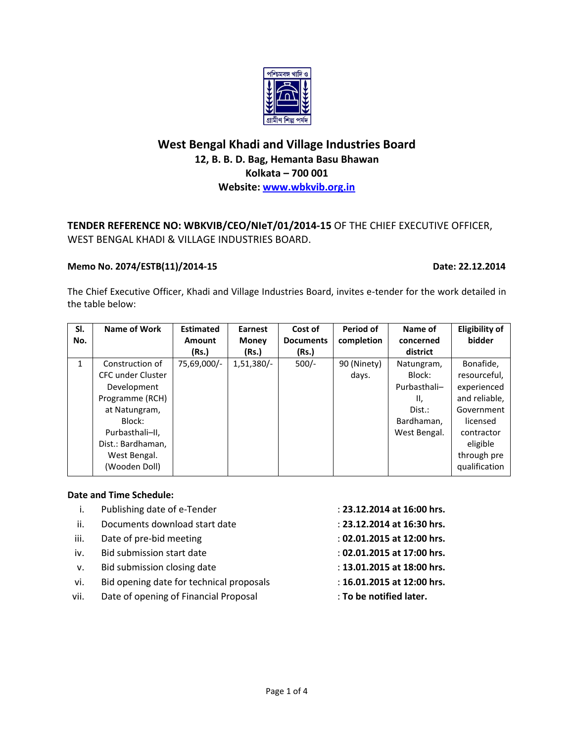

# **West Bengal Khadi and Village Industries Board 12, B. B. D. Bag, Hemanta Basu Bhawan Kolkata – 700 001 Website: [www.wbkvib.org.in](http://www.wbkvib.org.in/)**

# **TENDER REFERENCE NO: WBKVIB/CEO/NIeT/01/2014-15** OF THE CHIEF EXECUTIVE OFFICER, WEST BENGAL KHADI & VILLAGE INDUSTRIES BOARD.

## **Memo No. 2074/ESTB(11)/2014-15 Date: 22.12.2014**

The Chief Executive Officer, Khadi and Village Industries Board, invites e-tender for the work detailed in the table below:

| SI.          | Name of Work      | <b>Estimated</b> | <b>Earnest</b> | Cost of          | Period of   | Name of      | <b>Eligibility of</b> |
|--------------|-------------------|------------------|----------------|------------------|-------------|--------------|-----------------------|
| No.          |                   | <b>Amount</b>    | <b>Money</b>   | <b>Documents</b> | completion  | concerned    | bidder                |
|              |                   | (Rs.)            | (Rs.)          | (Rs.)            |             | district     |                       |
| $\mathbf{1}$ | Construction of   | 75,69,000/-      | $1,51,380/-$   | $500/-$          | 90 (Ninety) | Natungram,   | Bonafide,             |
|              | CFC under Cluster |                  |                |                  | days.       | Block:       | resourceful,          |
|              | Development       |                  |                |                  |             | Purbasthali- | experienced           |
|              | Programme (RCH)   |                  |                |                  |             | Ш.           | and reliable,         |
|              | at Natungram,     |                  |                |                  |             | Dist.:       | Government            |
|              | Block:            |                  |                |                  |             | Bardhaman,   | licensed              |
|              | Purbasthali-II,   |                  |                |                  |             | West Bengal. | contractor            |
|              | Dist.: Bardhaman, |                  |                |                  |             |              | eligible              |
|              | West Bengal.      |                  |                |                  |             |              | through pre           |
|              | (Wooden Doll)     |                  |                |                  |             |              | qualification         |

### **Date and Time Schedule:**

- i. Publishing date of e-Tender : **23.12.2014 at 16:00 hrs.**
- ii. Documents download start date : **23.12.2014 at 16:30 hrs.**
- iii. Date of pre-bid meeting : **02.01.2015 at 12:00 hrs.**
- iv. Bid submission start date : **02.01.2015 at 17:00 hrs.**
- v. Bid submission closing date : **13.01.2015 at 18:00 hrs.**
- vi. Bid opening date for technical proposals : **16.01.2015 at 12:00 hrs.**
- vii. Date of opening of Financial Proposal **: To be notified later.**
- 
- 
- 
- 
- 
- -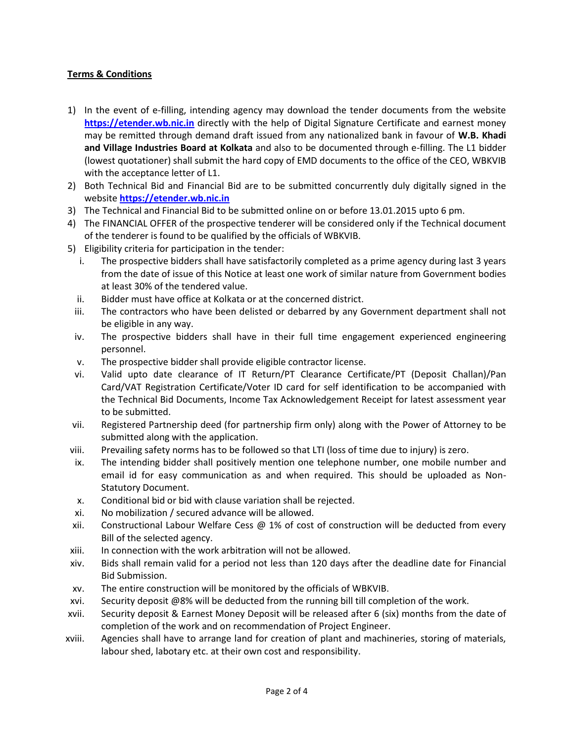## **Terms & Conditions**

- 1) In the event of e-filling, intending agency may download the tender documents from the website **[https://etender.wb.nic.in](https://etender.wb.nic.in/)** directly with the help of Digital Signature Certificate and earnest money may be remitted through demand draft issued from any nationalized bank in favour of **W.B. Khadi and Village Industries Board at Kolkata** and also to be documented through e-filling. The L1 bidder (lowest quotationer) shall submit the hard copy of EMD documents to the office of the CEO, WBKVIB with the acceptance letter of L1.
- 2) Both Technical Bid and Financial Bid are to be submitted concurrently duly digitally signed in the website **[https://etender.wb.nic.in](https://etender.wb.nic.in/)**
- 3) The Technical and Financial Bid to be submitted online on or before 13.01.2015 upto 6 pm.
- 4) The FINANCIAL OFFER of the prospective tenderer will be considered only if the Technical document of the tenderer is found to be qualified by the officials of WBKVIB.
- 5) Eligibility criteria for participation in the tender:
	- i. The prospective bidders shall have satisfactorily completed as a prime agency during last 3 years from the date of issue of this Notice at least one work of similar nature from Government bodies at least 30% of the tendered value.
	- ii. Bidder must have office at Kolkata or at the concerned district.
	- iii. The contractors who have been delisted or debarred by any Government department shall not be eligible in any way.
	- iv. The prospective bidders shall have in their full time engagement experienced engineering personnel.
	- v. The prospective bidder shall provide eligible contractor license.
	- vi. Valid upto date clearance of IT Return/PT Clearance Certificate/PT (Deposit Challan)/Pan Card/VAT Registration Certificate/Voter ID card for self identification to be accompanied with the Technical Bid Documents, Income Tax Acknowledgement Receipt for latest assessment year to be submitted.
- vii. Registered Partnership deed (for partnership firm only) along with the Power of Attorney to be submitted along with the application.
- viii. Prevailing safety norms has to be followed so that LTI (loss of time due to injury) is zero.
- ix. The intending bidder shall positively mention one telephone number, one mobile number and email id for easy communication as and when required. This should be uploaded as Non-Statutory Document.
- x. Conditional bid or bid with clause variation shall be rejected.
- xi. No mobilization / secured advance will be allowed.
- xii. Constructional Labour Welfare Cess  $@1\%$  of cost of construction will be deducted from every Bill of the selected agency.
- xiii. In connection with the work arbitration will not be allowed.
- xiv. Bids shall remain valid for a period not less than 120 days after the deadline date for Financial Bid Submission.
- xv. The entire construction will be monitored by the officials of WBKVIB.
- xvi. Security deposit @8% will be deducted from the running bill till completion of the work.
- xvii. Security deposit & Earnest Money Deposit will be released after 6 (six) months from the date of completion of the work and on recommendation of Project Engineer.
- xviii. Agencies shall have to arrange land for creation of plant and machineries, storing of materials, labour shed, labotary etc. at their own cost and responsibility.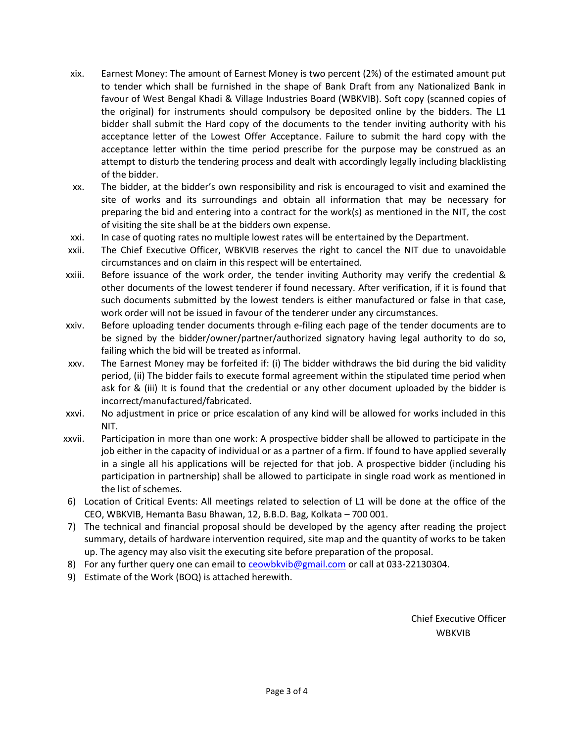- xix. Earnest Money: The amount of Earnest Money is two percent (2%) of the estimated amount put to tender which shall be furnished in the shape of Bank Draft from any Nationalized Bank in favour of West Bengal Khadi & Village Industries Board (WBKVIB). Soft copy (scanned copies of the original) for instruments should compulsory be deposited online by the bidders. The L1 bidder shall submit the Hard copy of the documents to the tender inviting authority with his acceptance letter of the Lowest Offer Acceptance. Failure to submit the hard copy with the acceptance letter within the time period prescribe for the purpose may be construed as an attempt to disturb the tendering process and dealt with accordingly legally including blacklisting of the bidder.
- xx. The bidder, at the bidder's own responsibility and risk is encouraged to visit and examined the site of works and its surroundings and obtain all information that may be necessary for preparing the bid and entering into a contract for the work(s) as mentioned in the NIT, the cost of visiting the site shall be at the bidders own expense.
- xxi. In case of quoting rates no multiple lowest rates will be entertained by the Department.
- xxii. The Chief Executive Officer, WBKVIB reserves the right to cancel the NIT due to unavoidable circumstances and on claim in this respect will be entertained.
- xxiii. Before issuance of the work order, the tender inviting Authority may verify the credential & other documents of the lowest tenderer if found necessary. After verification, if it is found that such documents submitted by the lowest tenders is either manufactured or false in that case, work order will not be issued in favour of the tenderer under any circumstances.
- xxiv. Before uploading tender documents through e-filing each page of the tender documents are to be signed by the bidder/owner/partner/authorized signatory having legal authority to do so, failing which the bid will be treated as informal.
- xxv. The Earnest Money may be forfeited if: (i) The bidder withdraws the bid during the bid validity period, (ii) The bidder fails to execute formal agreement within the stipulated time period when ask for & (iii) It is found that the credential or any other document uploaded by the bidder is incorrect/manufactured/fabricated.
- xxvi. No adjustment in price or price escalation of any kind will be allowed for works included in this NIT.
- xxvii. Participation in more than one work: A prospective bidder shall be allowed to participate in the job either in the capacity of individual or as a partner of a firm. If found to have applied severally in a single all his applications will be rejected for that job. A prospective bidder (including his participation in partnership) shall be allowed to participate in single road work as mentioned in the list of schemes.
- 6) Location of Critical Events: All meetings related to selection of L1 will be done at the office of the CEO, WBKVIB, Hemanta Basu Bhawan, 12, B.B.D. Bag, Kolkata – 700 001.
- 7) The technical and financial proposal should be developed by the agency after reading the project summary, details of hardware intervention required, site map and the quantity of works to be taken up. The agency may also visit the executing site before preparation of the proposal.
- 8) For any further query one can email to  $ceowbkvib@gmail.com$  or call at 033-22130304.</u>
- 9) Estimate of the Work (BOQ) is attached herewith.

Chief Executive Officer were also as a series of the WBKVIB